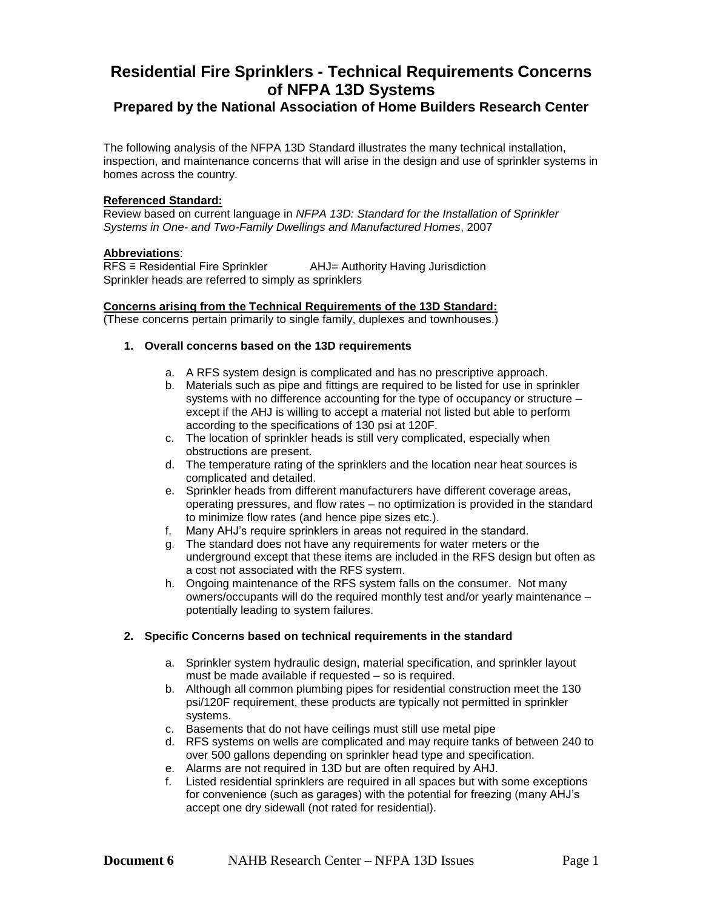# **Residential Fire Sprinklers - Technical Requirements Concerns of NFPA 13D Systems**

# **Prepared by the National Association of Home Builders Research Center**

The following analysis of the NFPA 13D Standard illustrates the many technical installation, inspection, and maintenance concerns that will arise in the design and use of sprinkler systems in homes across the country.

#### **Referenced Standard:**

Review based on current language in *NFPA 13D: Standard for the Installation of Sprinkler Systems in One- and Two-Family Dwellings and Manufactured Homes*, 2007

#### **Abbreviations**:

RFS ≡ Residential Fire Sprinkler AHJ= Authority Having Jurisdiction Sprinkler heads are referred to simply as sprinklers

#### **Concerns arising from the Technical Requirements of the 13D Standard:**

(These concerns pertain primarily to single family, duplexes and townhouses.)

#### **1. Overall concerns based on the 13D requirements**

- a. A RFS system design is complicated and has no prescriptive approach.
- b. Materials such as pipe and fittings are required to be listed for use in sprinkler systems with no difference accounting for the type of occupancy or structure – except if the AHJ is willing to accept a material not listed but able to perform according to the specifications of 130 psi at 120F.
- c. The location of sprinkler heads is still very complicated, especially when obstructions are present.
- d. The temperature rating of the sprinklers and the location near heat sources is complicated and detailed.
- e. Sprinkler heads from different manufacturers have different coverage areas, operating pressures, and flow rates – no optimization is provided in the standard to minimize flow rates (and hence pipe sizes etc.).
- f. Many AHJ's require sprinklers in areas not required in the standard.
- g. The standard does not have any requirements for water meters or the underground except that these items are included in the RFS design but often as a cost not associated with the RFS system.
- h. Ongoing maintenance of the RFS system falls on the consumer. Not many owners/occupants will do the required monthly test and/or yearly maintenance – potentially leading to system failures.

#### **2. Specific Concerns based on technical requirements in the standard**

- a. Sprinkler system hydraulic design, material specification, and sprinkler layout must be made available if requested – so is required.
- b. Although all common plumbing pipes for residential construction meet the 130 psi/120F requirement, these products are typically not permitted in sprinkler systems.
- c. Basements that do not have ceilings must still use metal pipe
- d. RFS systems on wells are complicated and may require tanks of between 240 to over 500 gallons depending on sprinkler head type and specification.
- e. Alarms are not required in 13D but are often required by AHJ.
- f. Listed residential sprinklers are required in all spaces but with some exceptions for convenience (such as garages) with the potential for freezing (many AHJ's accept one dry sidewall (not rated for residential).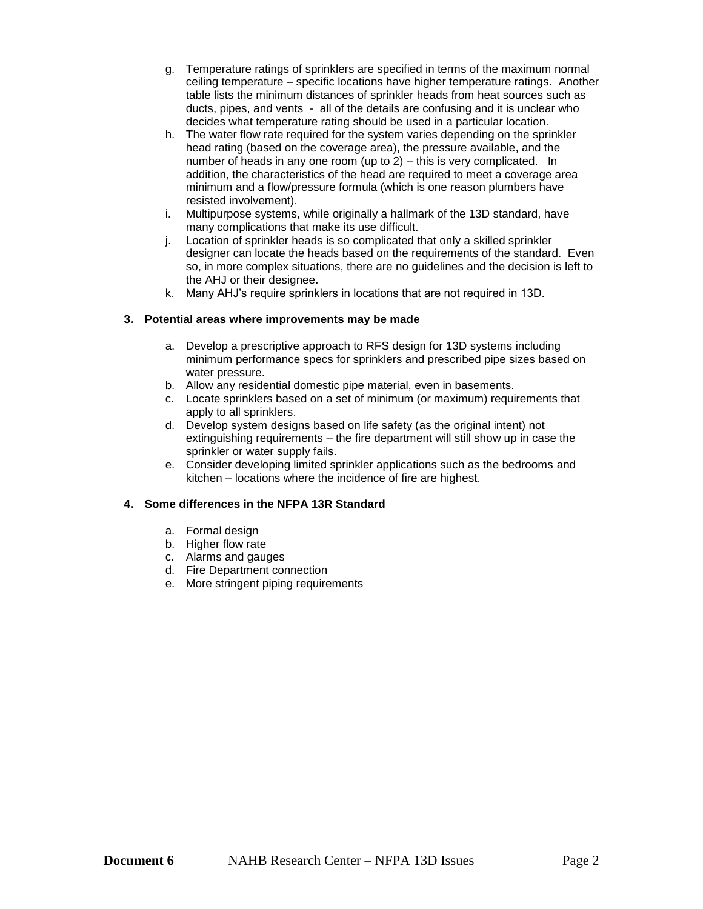- g. Temperature ratings of sprinklers are specified in terms of the maximum normal ceiling temperature – specific locations have higher temperature ratings. Another table lists the minimum distances of sprinkler heads from heat sources such as ducts, pipes, and vents - all of the details are confusing and it is unclear who decides what temperature rating should be used in a particular location.
- h. The water flow rate required for the system varies depending on the sprinkler head rating (based on the coverage area), the pressure available, and the number of heads in any one room (up to 2) – this is very complicated. In addition, the characteristics of the head are required to meet a coverage area minimum and a flow/pressure formula (which is one reason plumbers have resisted involvement).
- i. Multipurpose systems, while originally a hallmark of the 13D standard, have many complications that make its use difficult.
- j. Location of sprinkler heads is so complicated that only a skilled sprinkler designer can locate the heads based on the requirements of the standard. Even so, in more complex situations, there are no guidelines and the decision is left to the AHJ or their designee.
- k. Many AHJ's require sprinklers in locations that are not required in 13D.

## **3. Potential areas where improvements may be made**

- a. Develop a prescriptive approach to RFS design for 13D systems including minimum performance specs for sprinklers and prescribed pipe sizes based on water pressure.
- b. Allow any residential domestic pipe material, even in basements.
- c. Locate sprinklers based on a set of minimum (or maximum) requirements that apply to all sprinklers.
- d. Develop system designs based on life safety (as the original intent) not extinguishing requirements – the fire department will still show up in case the sprinkler or water supply fails.
- e. Consider developing limited sprinkler applications such as the bedrooms and kitchen – locations where the incidence of fire are highest.

#### **4. Some differences in the NFPA 13R Standard**

- a. Formal design
- b. Higher flow rate
- c. Alarms and gauges
- d. Fire Department connection
- e. More stringent piping requirements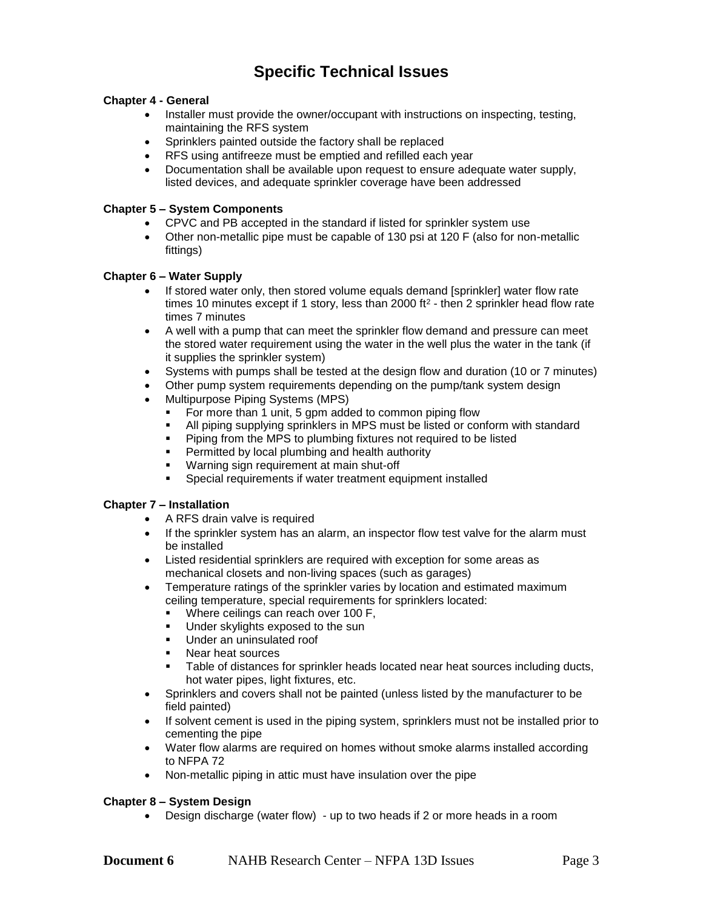# **Specific Technical Issues**

## **Chapter 4 - General**

- Installer must provide the owner/occupant with instructions on inspecting, testing, maintaining the RFS system
- Sprinklers painted outside the factory shall be replaced
- RFS using antifreeze must be emptied and refilled each year
- Documentation shall be available upon request to ensure adequate water supply, listed devices, and adequate sprinkler coverage have been addressed

#### **Chapter 5 – System Components**

- CPVC and PB accepted in the standard if listed for sprinkler system use
- Other non-metallic pipe must be capable of 130 psi at 120 F (also for non-metallic fittings)

#### **Chapter 6 – Water Supply**

- If stored water only, then stored volume equals demand [sprinkler] water flow rate times 10 minutes except if 1 story, less than 2000 ft<sup>2</sup> - then 2 sprinkler head flow rate times 7 minutes
- A well with a pump that can meet the sprinkler flow demand and pressure can meet the stored water requirement using the water in the well plus the water in the tank (if it supplies the sprinkler system)
- Systems with pumps shall be tested at the design flow and duration (10 or 7 minutes)
- Other pump system requirements depending on the pump/tank system design
- Multipurpose Piping Systems (MPS)
	- For more than 1 unit, 5 gpm added to common piping flow
	- All piping supplying sprinklers in MPS must be listed or conform with standard
	- Piping from the MPS to plumbing fixtures not required to be listed
	- Permitted by local plumbing and health authority
	- Warning sign requirement at main shut-off
	- Special requirements if water treatment equipment installed

## **Chapter 7 – Installation**

- A RFS drain valve is required
- If the sprinkler system has an alarm, an inspector flow test valve for the alarm must be installed
- Listed residential sprinklers are required with exception for some areas as mechanical closets and non-living spaces (such as garages)
- Temperature ratings of the sprinkler varies by location and estimated maximum ceiling temperature, special requirements for sprinklers located:
	- Where ceilings can reach over 100 F,
	- Under skylights exposed to the sun
	- Under an uninsulated roof
	- Near heat sources
	- Table of distances for sprinkler heads located near heat sources including ducts, hot water pipes, light fixtures, etc.
- Sprinklers and covers shall not be painted (unless listed by the manufacturer to be field painted)
- If solvent cement is used in the piping system, sprinklers must not be installed prior to cementing the pipe
- Water flow alarms are required on homes without smoke alarms installed according to NFPA 72
- Non-metallic piping in attic must have insulation over the pipe

#### **Chapter 8 – System Design**

• Design discharge (water flow) - up to two heads if 2 or more heads in a room